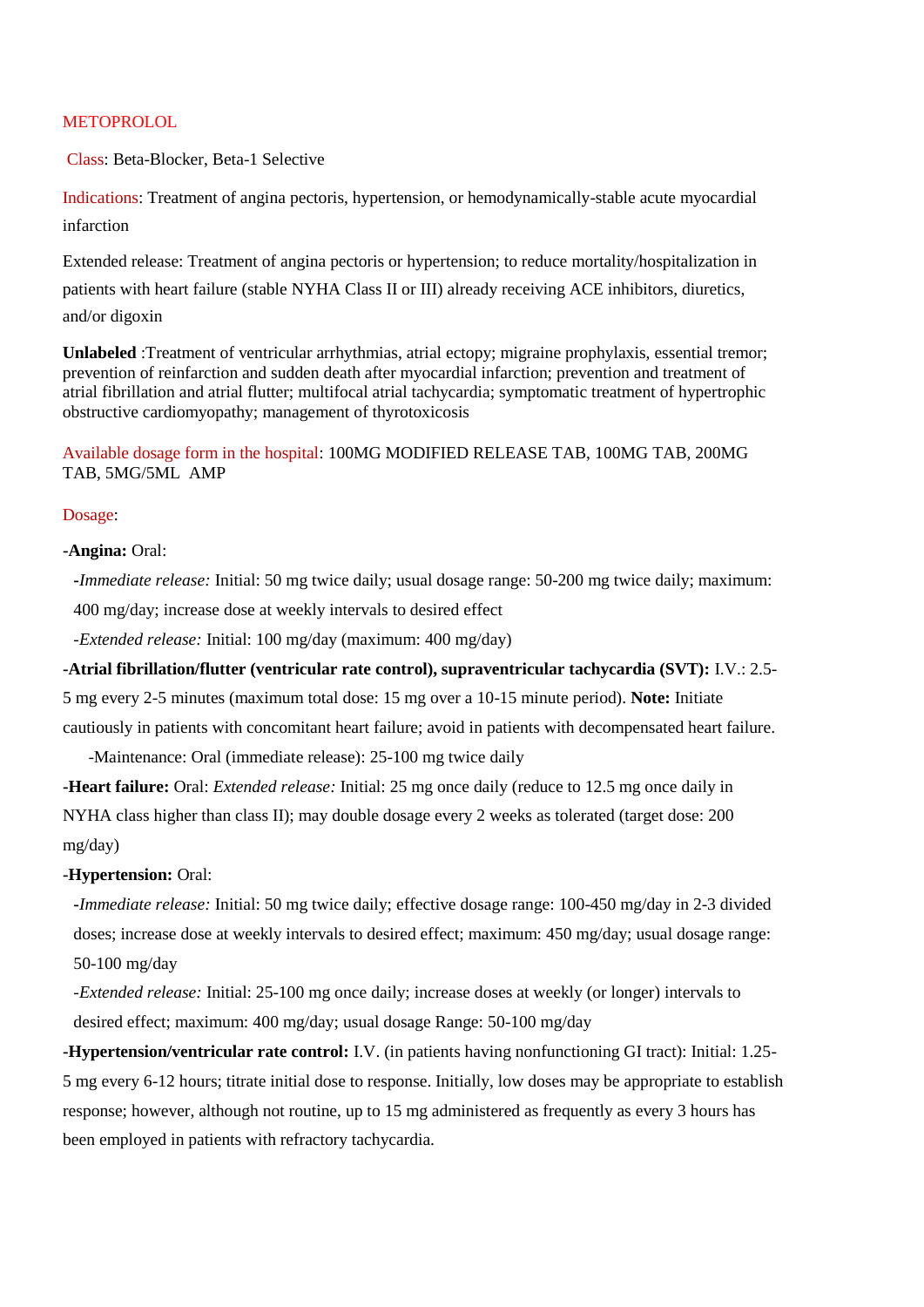## **METOPROLOL**

Class: Beta-Blocker, Beta-1 Selective

Indications: Treatment of angina pectoris, hypertension, or hemodynamically-stable acute myocardial infarction

Extended release: Treatment of angina pectoris or hypertension; to reduce mortality/hospitalization in patients with heart failure (stable NYHA Class II or III) already receiving ACE inhibitors, diuretics, and/or digoxin

**Unlabeled** :Treatment of ventricular arrhythmias, atrial ectopy; migraine prophylaxis, essential tremor; prevention of reinfarction and sudden death after myocardial infarction; prevention and treatment of atrial fibrillation and atrial flutter; multifocal atrial tachycardia; symptomatic treatment of hypertrophic obstructive cardiomyopathy; management of thyrotoxicosis

# Available dosage form in the hospital: 100MG MODIFIED RELEASE TAB, 100MG TAB, 200MG TAB, 5MG/5ML AMP

## Dosage:

## **-Angina:** Oral:

**-***Immediate release:* Initial: 50 mg twice daily; usual dosage range: 50-200 mg twice daily; maximum: 400 mg/day; increase dose at weekly intervals to desired effect

*-Extended release:* Initial: 100 mg/day (maximum: 400 mg/day)

**-Atrial fibrillation/flutter (ventricular rate control), supraventricular tachycardia (SVT):** I.V.: 2.5-

5 mg every 2-5 minutes (maximum total dose: 15 mg over a 10-15 minute period). **Note:** Initiate

cautiously in patients with concomitant heart failure; avoid in patients with decompensated heart failure.

-Maintenance: Oral (immediate release): 25-100 mg twice daily

**-Heart failure:** Oral: *Extended release:* Initial: 25 mg once daily (reduce to 12.5 mg once daily in NYHA class higher than class II); may double dosage every 2 weeks as tolerated (target dose: 200 mg/day)

# **-Hypertension:** Oral:

**-***Immediate release:* Initial: 50 mg twice daily; effective dosage range: 100-450 mg/day in 2-3 divided doses; increase dose at weekly intervals to desired effect; maximum: 450 mg/day; usual dosage range: 50-100 mg/day

*-Extended release:* Initial: 25-100 mg once daily; increase doses at weekly (or longer) intervals to desired effect; maximum: 400 mg/day; usual dosage Range: 50-100 mg/day

**-Hypertension/ventricular rate control:** I.V. (in patients having nonfunctioning GI tract): Initial: 1.25- 5 mg every 6-12 hours; titrate initial dose to response. Initially, low doses may be appropriate to establish response; however, although not routine, up to 15 mg administered as frequently as every 3 hours has been employed in patients with refractory tachycardia.